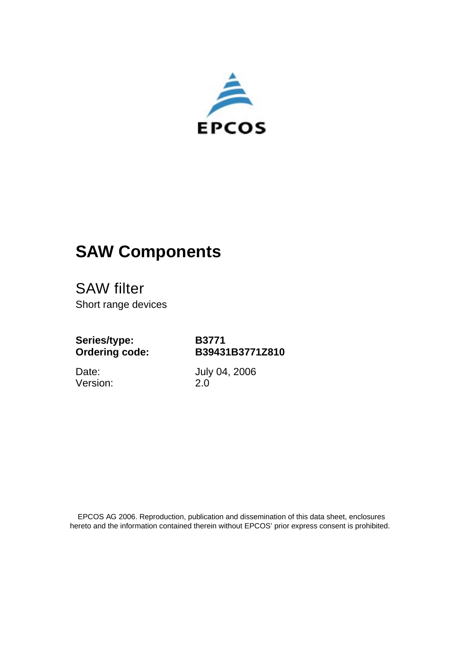

# **SAW Components**

SAW filter Short range devices

**Series/type: Ordering code:**

**B3771 B39431B3771Z810**

Date: Version: July 04, 2006 2.0

 EPCOS AG 2006. Reproduction, publication and dissemination of this data sheet, enclosures hereto and the information contained therein without EPCOS' prior express consent is prohibited.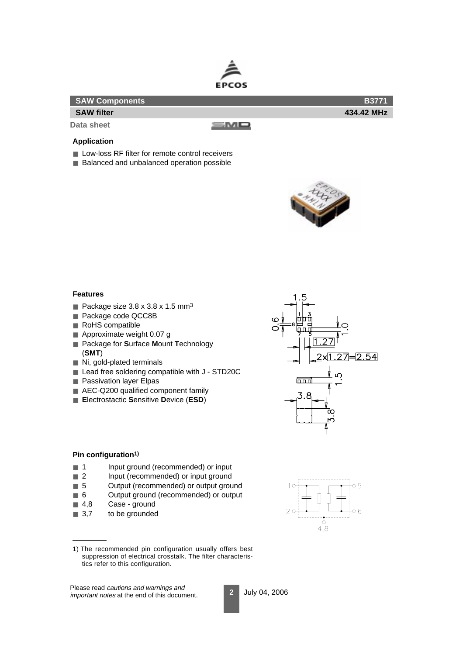

| SAW Components    |      | <b>B3771</b> |
|-------------------|------|--------------|
| <b>SAW filter</b> |      | 434.42 MHz   |
| Data sheet        | s Mo |              |

## **Application**

- Low-loss RF filter for remote control receivers
- Balanced and unbalanced operation possible



## **Features**

- Package size  $3.8 \times 3.8 \times 1.5$  mm<sup>3</sup>
- Package code QCC8B
- RoHS compatible
- Approximate weight 0.07 g
- Package for Surface Mount Technology (**SMT**)
- Ni, gold-plated terminals
- Lead free soldering compatible with J STD20C
- Passivation layer Elpas
- AEC-Q200 qualified component family
- **E**lectrostactic **S**ensitive **D**evice (**ESD**)



## **Pin configuration1)**

- 1 Input ground (recommended) or input
- 2 Input (recommended) or input ground
- 5 Output (recommended) or output ground
- 6 Output ground (recommended) or output
- 4,8 Case ground
- 3,7 to be grounded

Please read cautions and warnings and important notes at the end of this document.



<sup>1)</sup> The recommended pin configuration usually offers best suppression of electrical crosstalk. The filter characteristics refer to this configuration.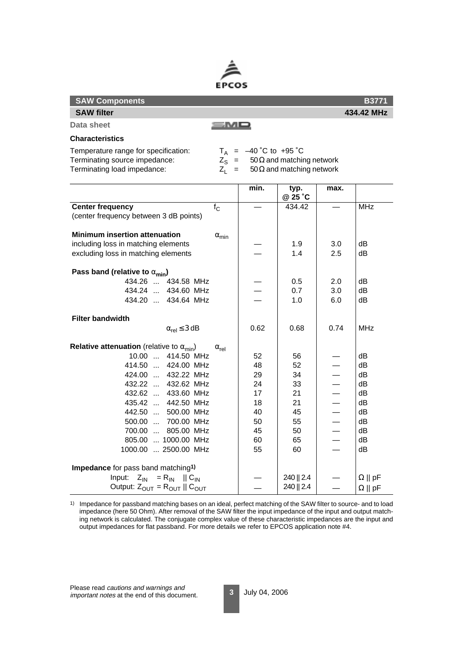

| <b>SAW Components</b>                                     |                    |                          |                                                |                          | <b>B3771</b>          |
|-----------------------------------------------------------|--------------------|--------------------------|------------------------------------------------|--------------------------|-----------------------|
| <b>SAW filter</b>                                         |                    |                          |                                                |                          | 434.42 MHz            |
| Data sheet                                                | smo                |                          |                                                |                          |                       |
| <b>Characteristics</b>                                    |                    |                          |                                                |                          |                       |
| Temperature range for specification:                      |                    | $T_A$ = -40 °C to +95 °C |                                                |                          |                       |
| Terminating source impedance:                             |                    |                          | $Z_{\rm S}$ = 50 $\Omega$ and matching network |                          |                       |
| Terminating load impedance:                               | $Z_1 =$            |                          | 50 $\Omega$ and matching network               |                          |                       |
|                                                           |                    | min.                     | typ.<br>@ 25 °C                                | max.                     |                       |
| <b>Center frequency</b>                                   | $f_{\rm C}$        |                          | 434.42                                         |                          | <b>MHz</b>            |
| (center frequency between 3 dB points)                    |                    |                          |                                                |                          |                       |
| <b>Minimum insertion attenuation</b>                      |                    |                          |                                                |                          |                       |
| including loss in matching elements                       | $\alpha_{min}$     |                          | 1.9                                            | 3.0                      | dВ                    |
| excluding loss in matching elements                       |                    |                          | 1.4                                            | 2.5                      | dB                    |
|                                                           |                    |                          |                                                |                          |                       |
| Pass band (relative to $\alpha_{\text{min}}$ )            |                    |                          |                                                |                          |                       |
| 434.26  434.58 MHz                                        |                    |                          | 0.5                                            | 2.0                      | dВ                    |
| 434.24  434.60 MHz                                        |                    |                          | 0.7                                            | 3.0                      | dB                    |
| 434.20  434.64 MHz                                        |                    |                          | 1.0                                            | 6.0                      | dВ                    |
| <b>Filter bandwidth</b>                                   |                    |                          |                                                |                          |                       |
| $\alpha_{rel} \leq 3$ dB                                  |                    | 0.62                     | 0.68                                           | 0.74                     | <b>MHz</b>            |
| <b>Relative attenuation</b> (relative to $\alpha_{min}$ ) | $\alpha_{\sf rel}$ |                          |                                                |                          |                       |
| 10.00  414.50 MHz                                         |                    | 52                       | 56                                             |                          | dB                    |
| 414.50  424.00 MHz                                        |                    | 48                       | 52                                             |                          | dB                    |
| 424.00  432.22 MHz                                        |                    | 29                       | 34                                             |                          | dB                    |
| 432.22<br>432.62 MHz                                      |                    | 24                       | 33                                             |                          | dB                    |
| 432.62  433.60 MHz                                        |                    | 17                       | 21                                             |                          | dB                    |
| 435.42  442.50 MHz                                        |                    | 18                       | 21                                             |                          | dB                    |
| 442.50  500.00 MHz                                        |                    | 40                       | 45                                             | $\overline{\phantom{0}}$ | dB                    |
| 500.00  700.00 MHz                                        |                    | 50                       | 55                                             | —                        | dB                    |
| 700.00<br>805.00 MHz                                      |                    | 45                       | 50                                             | $\overline{\phantom{0}}$ | dB                    |
| 805.00  1000.00 MHz                                       |                    | 60                       | 65                                             |                          | dB                    |
| 1000.00  2500.00 MHz                                      |                    | 55                       | 60                                             |                          | dB                    |
| Impedance for pass band matching <sup>1)</sup>            |                    |                          |                                                |                          |                       |
| $Z_{IN} = R_{IN}$    $C_{IN}$<br>Input:                   |                    |                          | 240   2.4                                      |                          | $\Omega \parallel pF$ |
| Output: $Z_{OUT} = R_{OUT}    C_{OUT}$                    |                    |                          | 240   2.4                                      |                          | $\Omega$    pF        |

1) Impedance for passband matching bases on an ideal, perfect matching of the SAW filter to source- and to load impedance (here 50 Ohm). After removal of the SAW filter the input impedance of the input and output matching network is calculated. The conjugate complex value of these characteristic impedances are the input and output impedances for flat passband. For more details we refer to EPCOS application note #4.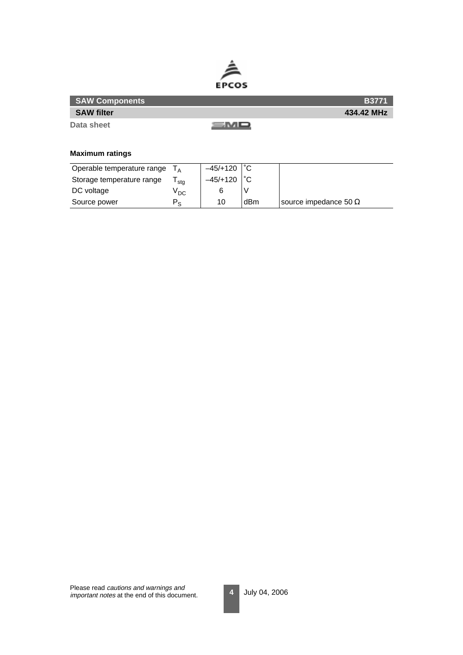

| <b>SAW Components</b> |     | <b>B3771</b> |
|-----------------------|-----|--------------|
| <b>SAW filter</b>     |     | 434.42 MHz   |
| Data sheet            | =MO |              |

# **Maximum ratings**

| Operable temperature range |                 | $-45/+120$ |     |                              |
|----------------------------|-----------------|------------|-----|------------------------------|
| Storage temperature range  | stg             | $-45/+120$ |     |                              |
| DC voltage                 | <sup>v</sup> DC |            |     |                              |
| Source power               | $P_{\rm e}$     | 10         | dBm | source impedance 50 $\Omega$ |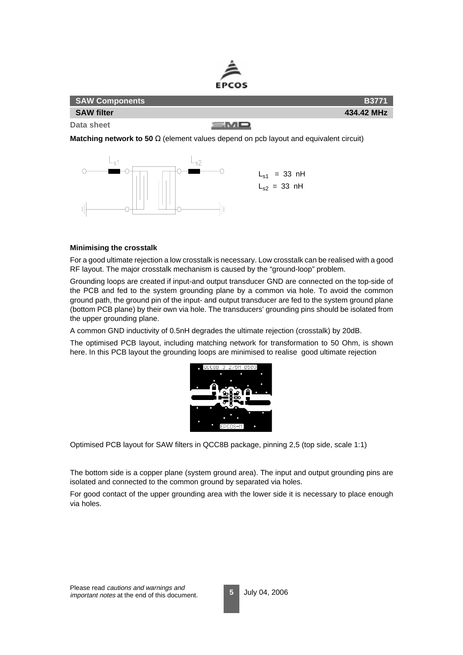

| <b>SAW Components</b> |      | <b>B3771</b> |
|-----------------------|------|--------------|
| <b>SAW filter</b>     |      | 434.42 MHz   |
| Data sheet            | SMD. |              |

**Matching network to 50** Ω (element values depend on pcb layout and equivalent circuit)



#### **Minimising the crosstalk**

For a good ultimate rejection a low crosstalk is necessary. Low crosstalk can be realised with a good RF layout. The major crosstalk mechanism is caused by the "ground-loop" problem.

Grounding loops are created if input-and output transducer GND are connected on the top-side of the PCB and fed to the system grounding plane by a common via hole. To avoid the common ground path, the ground pin of the input- and output transducer are fed to the system ground plane (bottom PCB plane) by their own via hole. The transducers' grounding pins should be isolated from the upper grounding plane.

A common GND inductivity of 0.5nH degrades the ultimate rejection (crosstalk) by 20dB.

The optimised PCB layout, including matching network for transformation to 50 Ohm, is shown here. In this PCB layout the grounding loops are minimised to realise good ultimate rejection



Optimised PCB layout for SAW filters in QCC8B package, pinning 2,5 (top side, scale 1:1)

The bottom side is a copper plane (system ground area). The input and output grounding pins are isolated and connected to the common ground by separated via holes.

For good contact of the upper grounding area with the lower side it is necessary to place enough via holes.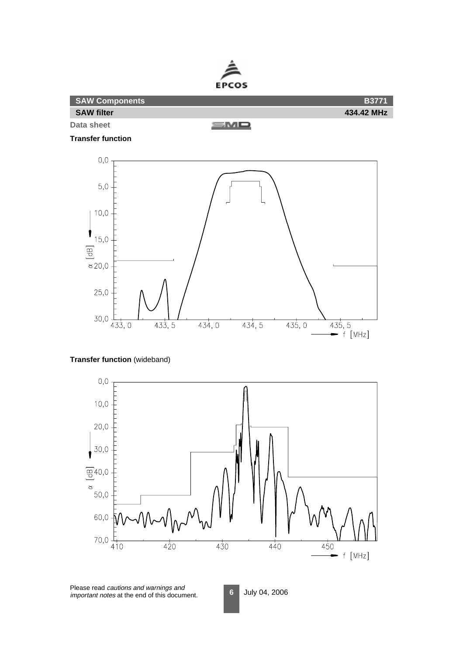

**SAW Components B3771 SAW filter 434.42 MHz Data sheet** <u>smo</u>

**Transfer function**



# **Transfer function** (wideband)



Please read cautions and warnings and important notes at the end of this document.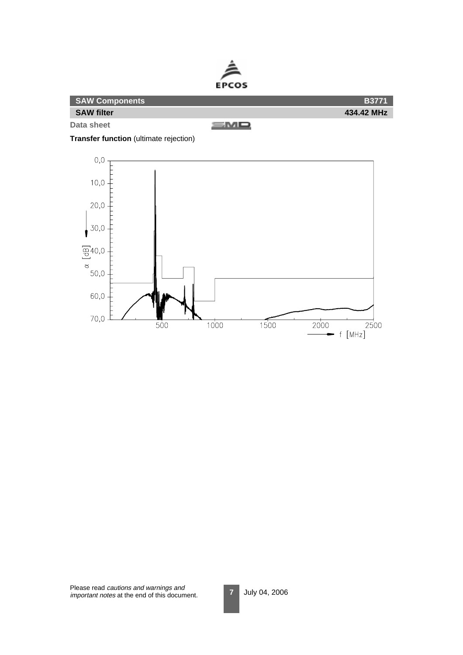



**Transfer function** (ultimate rejection)



Please read cautions and warnings and important notes at the end of this document.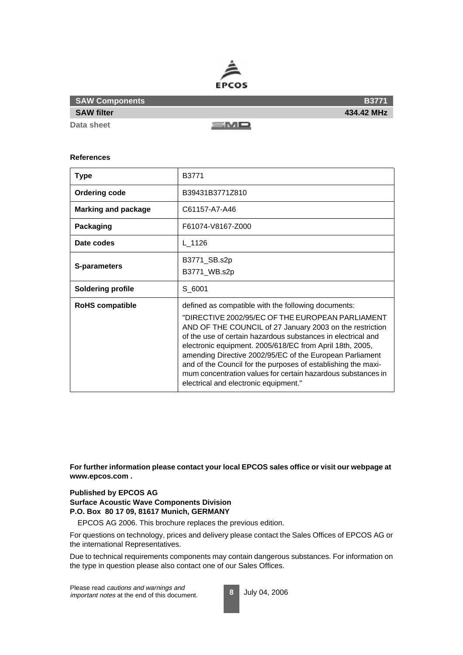

**Data sheet**

**SAW filter**

<u>smo</u>

#### **References**

| <b>Type</b>                | B3771                                                                                                                                                                                                                                                                                                                                                                                                                                                                                                                                 |
|----------------------------|---------------------------------------------------------------------------------------------------------------------------------------------------------------------------------------------------------------------------------------------------------------------------------------------------------------------------------------------------------------------------------------------------------------------------------------------------------------------------------------------------------------------------------------|
| <b>Ordering code</b>       | B39431B3771Z810                                                                                                                                                                                                                                                                                                                                                                                                                                                                                                                       |
| <b>Marking and package</b> | C61157-A7-A46                                                                                                                                                                                                                                                                                                                                                                                                                                                                                                                         |
| Packaging                  | F61074-V8167-Z000                                                                                                                                                                                                                                                                                                                                                                                                                                                                                                                     |
| Date codes                 | L_1126                                                                                                                                                                                                                                                                                                                                                                                                                                                                                                                                |
| S-parameters               | B3771_SB.s2p<br>B3771_WB.s2p                                                                                                                                                                                                                                                                                                                                                                                                                                                                                                          |
| <b>Soldering profile</b>   | S 6001                                                                                                                                                                                                                                                                                                                                                                                                                                                                                                                                |
| <b>RoHS compatible</b>     | defined as compatible with the following documents:<br>"DIRECTIVE 2002/95/EC OF THE EUROPEAN PARLIAMENT<br>AND OF THE COUNCIL of 27 January 2003 on the restriction<br>of the use of certain hazardous substances in electrical and<br>electronic equipment. 2005/618/EC from April 18th, 2005,<br>amending Directive 2002/95/EC of the European Parliament<br>and of the Council for the purposes of establishing the maxi-<br>mum concentration values for certain hazardous substances in<br>electrical and electronic equipment." |

**For further information please contact your local EPCOS sales office or visit our webpage at www.epcos.com .**

### **Published by EPCOS AG**

**Surface Acoustic Wave Components Division P.O. Box 80 17 09, 81617 Munich, GERMANY**

EPCOS AG 2006. This brochure replaces the previous edition.

For questions on technology, prices and delivery please contact the Sales Offices of EPCOS AG or the international Representatives.

Due to technical requirements components may contain dangerous substances. For information on the type in question please also contact one of our Sales Offices.

Please read cautions and warnings and important notes at the end of this document.